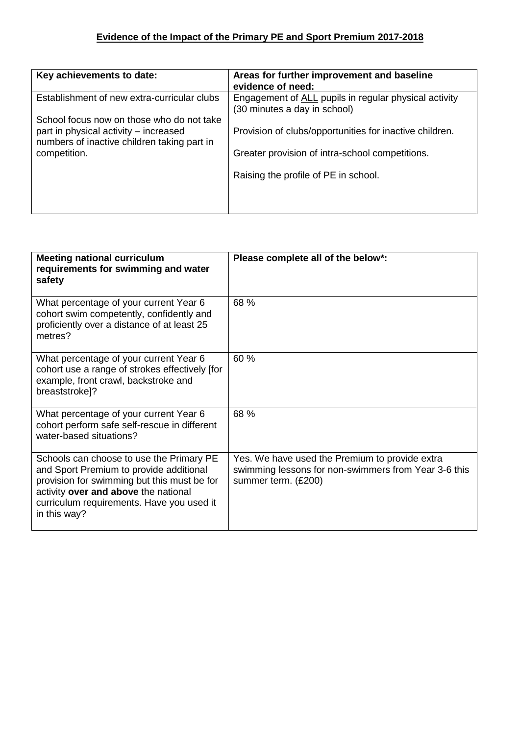| Key achievements to date:                                                                                                         | Areas for further improvement and baseline<br>evidence of need:                       |
|-----------------------------------------------------------------------------------------------------------------------------------|---------------------------------------------------------------------------------------|
| Establishment of new extra-curricular clubs                                                                                       | Engagement of ALL pupils in regular physical activity<br>(30 minutes a day in school) |
| School focus now on those who do not take<br>part in physical activity – increased<br>numbers of inactive children taking part in | Provision of clubs/opportunities for inactive children.                               |
| competition.                                                                                                                      | Greater provision of intra-school competitions.                                       |
|                                                                                                                                   | Raising the profile of PE in school.                                                  |
|                                                                                                                                   |                                                                                       |

| <b>Meeting national curriculum</b><br>requirements for swimming and water<br>safety                                                                                                                                                     | Please complete all of the below*:                                                                                            |
|-----------------------------------------------------------------------------------------------------------------------------------------------------------------------------------------------------------------------------------------|-------------------------------------------------------------------------------------------------------------------------------|
| What percentage of your current Year 6<br>cohort swim competently, confidently and<br>proficiently over a distance of at least 25<br>metres?                                                                                            | 68 %                                                                                                                          |
| What percentage of your current Year 6<br>cohort use a range of strokes effectively [for<br>example, front crawl, backstroke and<br>breaststroke]?                                                                                      | 60 %                                                                                                                          |
| What percentage of your current Year 6<br>cohort perform safe self-rescue in different<br>water-based situations?                                                                                                                       | 68 %                                                                                                                          |
| Schools can choose to use the Primary PE<br>and Sport Premium to provide additional<br>provision for swimming but this must be for<br>activity over and above the national<br>curriculum requirements. Have you used it<br>in this way? | Yes. We have used the Premium to provide extra<br>swimming lessons for non-swimmers from Year 3-6 this<br>summer term. (£200) |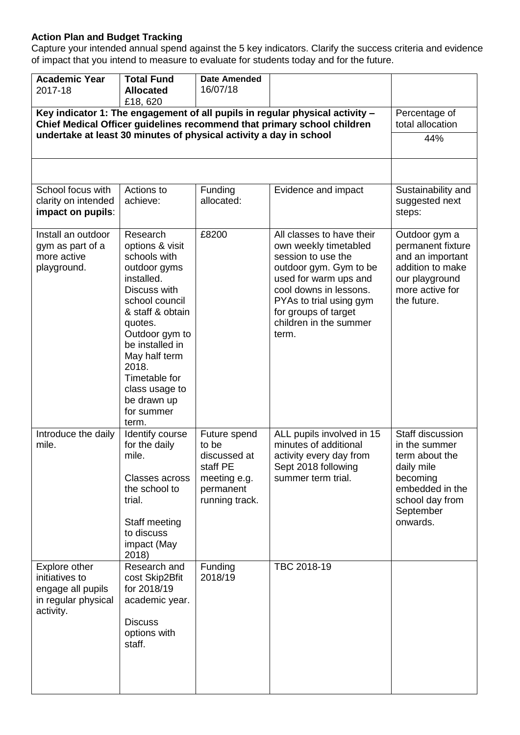## **Action Plan and Budget Tracking**

Capture your intended annual spend against the 5 key indicators. Clarify the success criteria and evidence of impact that you intend to measure to evaluate for students today and for the future.

| <b>Academic Year</b><br>2017-18                                                                                                                         | <b>Total Fund</b><br><b>Allocated</b><br>£18,620                                                                                                                                                                                                                                   | <b>Date Amended</b><br>16/07/18                                                                  |                                                                                                                                                                                                                                             |                                                                                                                                              |
|---------------------------------------------------------------------------------------------------------------------------------------------------------|------------------------------------------------------------------------------------------------------------------------------------------------------------------------------------------------------------------------------------------------------------------------------------|--------------------------------------------------------------------------------------------------|---------------------------------------------------------------------------------------------------------------------------------------------------------------------------------------------------------------------------------------------|----------------------------------------------------------------------------------------------------------------------------------------------|
| Key indicator 1: The engagement of all pupils in regular physical activity -<br>Chief Medical Officer guidelines recommend that primary school children |                                                                                                                                                                                                                                                                                    |                                                                                                  |                                                                                                                                                                                                                                             | Percentage of<br>total allocation                                                                                                            |
| undertake at least 30 minutes of physical activity a day in school                                                                                      |                                                                                                                                                                                                                                                                                    |                                                                                                  |                                                                                                                                                                                                                                             | 44%                                                                                                                                          |
|                                                                                                                                                         |                                                                                                                                                                                                                                                                                    |                                                                                                  |                                                                                                                                                                                                                                             |                                                                                                                                              |
| School focus with<br>clarity on intended<br>impact on pupils:                                                                                           | Actions to<br>achieve:                                                                                                                                                                                                                                                             | Funding<br>allocated:                                                                            | Evidence and impact                                                                                                                                                                                                                         | Sustainability and<br>suggested next<br>steps:                                                                                               |
| Install an outdoor<br>gym as part of a<br>more active<br>playground.                                                                                    | Research<br>options & visit<br>schools with<br>outdoor gyms<br>installed.<br>Discuss with<br>school council<br>& staff & obtain<br>quotes.<br>Outdoor gym to<br>be installed in<br>May half term<br>2018.<br>Timetable for<br>class usage to<br>be drawn up<br>for summer<br>term. | £8200                                                                                            | All classes to have their<br>own weekly timetabled<br>session to use the<br>outdoor gym. Gym to be<br>used for warm ups and<br>cool downs in lessons.<br>PYAs to trial using gym<br>for groups of target<br>children in the summer<br>term. | Outdoor gym a<br>permanent fixture<br>and an important<br>addition to make<br>our playground<br>more active for<br>the future.               |
| Introduce the daily<br>mile.                                                                                                                            | Identify course<br>for the daily<br>mile.<br><b>Classes across</b><br>the school to<br>trial.<br>Staff meeting<br>to discuss<br>impact (May<br>2018)                                                                                                                               | Future spend<br>to be<br>discussed at<br>staff PE<br>meeting e.g.<br>permanent<br>running track. | ALL pupils involved in 15<br>minutes of additional<br>activity every day from<br>Sept 2018 following<br>summer term trial.                                                                                                                  | Staff discussion<br>in the summer<br>term about the<br>daily mile<br>becoming<br>embedded in the<br>school day from<br>September<br>onwards. |
| Explore other<br>initiatives to<br>engage all pupils<br>in regular physical<br>activity.                                                                | Research and<br>cost Skip2Bfit<br>for 2018/19<br>academic year.<br><b>Discuss</b><br>options with<br>staff.                                                                                                                                                                        | Funding<br>2018/19                                                                               | TBC 2018-19                                                                                                                                                                                                                                 |                                                                                                                                              |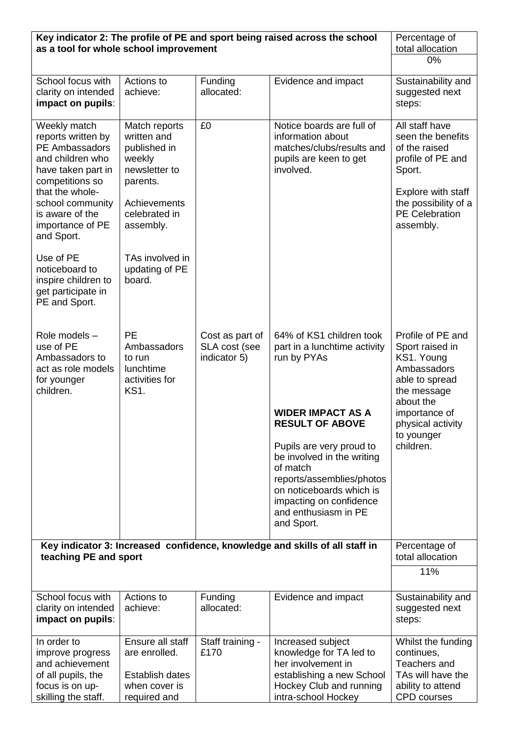| Key indicator 2: The profile of PE and sport being raised across the school<br>as a tool for whole school improvement                                                                                         | Percentage of<br>total allocation                                                                                                 |                                                  |                                                                                                                                                                                                                                                                                                                               |                                                                                                                                                                                  |
|---------------------------------------------------------------------------------------------------------------------------------------------------------------------------------------------------------------|-----------------------------------------------------------------------------------------------------------------------------------|--------------------------------------------------|-------------------------------------------------------------------------------------------------------------------------------------------------------------------------------------------------------------------------------------------------------------------------------------------------------------------------------|----------------------------------------------------------------------------------------------------------------------------------------------------------------------------------|
|                                                                                                                                                                                                               | 0%                                                                                                                                |                                                  |                                                                                                                                                                                                                                                                                                                               |                                                                                                                                                                                  |
| School focus with<br>clarity on intended<br>impact on pupils:                                                                                                                                                 | Actions to<br>achieve:                                                                                                            | Funding<br>allocated:                            | Evidence and impact                                                                                                                                                                                                                                                                                                           | Sustainability and<br>suggested next<br>steps:                                                                                                                                   |
| Weekly match<br>reports written by<br>PE Ambassadors<br>and children who<br>have taken part in<br>competitions so<br>that the whole-<br>school community<br>is aware of the<br>importance of PE<br>and Sport. | Match reports<br>written and<br>published in<br>weekly<br>newsletter to<br>parents.<br>Achievements<br>celebrated in<br>assembly. | £0                                               | Notice boards are full of<br>information about<br>matches/clubs/results and<br>pupils are keen to get<br>involved.                                                                                                                                                                                                            | All staff have<br>seen the benefits<br>of the raised<br>profile of PE and<br>Sport.<br>Explore with staff<br>the possibility of a<br><b>PE Celebration</b><br>assembly.          |
| Use of PE<br>noticeboard to<br>inspire children to<br>get participate in<br>PE and Sport.                                                                                                                     | TAs involved in<br>updating of PE<br>board.                                                                                       |                                                  |                                                                                                                                                                                                                                                                                                                               |                                                                                                                                                                                  |
| Role models -<br>use of PE<br>Ambassadors to<br>act as role models<br>for younger<br>children.                                                                                                                | <b>PE</b><br>Ambassadors<br>to run<br>lunchtime<br>activities for<br><b>KS1.</b>                                                  | Cost as part of<br>SLA cost (see<br>indicator 5) | 64% of KS1 children took<br>part in a lunchtime activity<br>run by PYAs<br><b>WIDER IMPACT AS A</b><br><b>RESULT OF ABOVE</b><br>Pupils are very proud to<br>be involved in the writing<br>of match<br>reports/assemblies/photos<br>on noticeboards which is<br>impacting on confidence<br>and enthusiasm in PE<br>and Sport. | Profile of PE and<br>Sport raised in<br>KS1. Young<br>Ambassadors<br>able to spread<br>the message<br>about the<br>importance of<br>physical activity<br>to younger<br>children. |
| Key indicator 3: Increased confidence, knowledge and skills of all staff in<br>teaching PE and sport                                                                                                          | Percentage of<br>total allocation                                                                                                 |                                                  |                                                                                                                                                                                                                                                                                                                               |                                                                                                                                                                                  |
|                                                                                                                                                                                                               |                                                                                                                                   |                                                  |                                                                                                                                                                                                                                                                                                                               | 11%                                                                                                                                                                              |
| School focus with<br>clarity on intended<br>impact on pupils:                                                                                                                                                 | Actions to<br>achieve:                                                                                                            | Funding<br>allocated:                            | Evidence and impact                                                                                                                                                                                                                                                                                                           | Sustainability and<br>suggested next<br>steps:                                                                                                                                   |
| In order to<br>improve progress<br>and achievement<br>of all pupils, the<br>focus is on up-<br>skilling the staff.                                                                                            | Ensure all staff<br>are enrolled.<br>Establish dates<br>when cover is<br>required and                                             | Staff training -<br>£170                         | Increased subject<br>knowledge for TA led to<br>her involvement in<br>establishing a new School<br>Hockey Club and running<br>intra-school Hockey                                                                                                                                                                             | Whilst the funding<br>continues,<br>Teachers and<br>TAs will have the<br>ability to attend<br><b>CPD</b> courses                                                                 |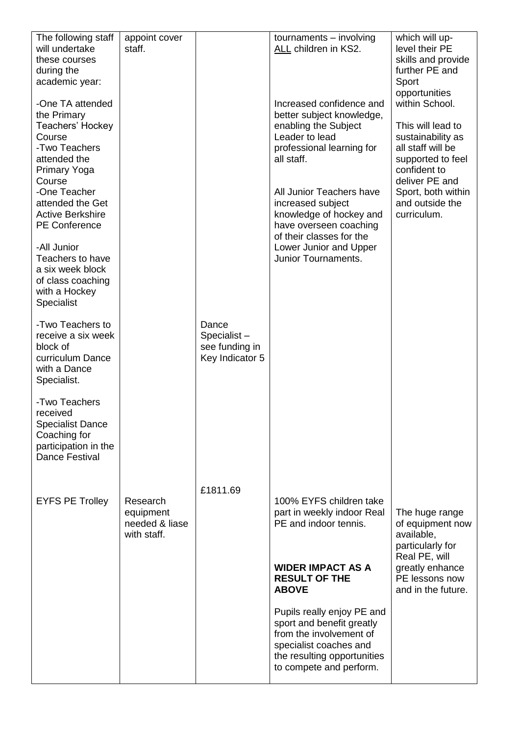| The following staff<br>will undertake<br>these courses<br>during the<br>academic year:                                                                                                                                                                                                             | appoint cover<br>staff.                                |                                                           | tournaments - involving<br>ALL children in KS2.                                                                                                                                                                                                                                                                               | which will up-<br>level their PE<br>skills and provide<br>further PE and<br>Sport<br>opportunities                                                                                           |
|----------------------------------------------------------------------------------------------------------------------------------------------------------------------------------------------------------------------------------------------------------------------------------------------------|--------------------------------------------------------|-----------------------------------------------------------|-------------------------------------------------------------------------------------------------------------------------------------------------------------------------------------------------------------------------------------------------------------------------------------------------------------------------------|----------------------------------------------------------------------------------------------------------------------------------------------------------------------------------------------|
| -One TA attended<br>the Primary<br>Teachers' Hockey<br>Course<br>-Two Teachers<br>attended the<br><b>Primary Yoga</b><br>Course<br>-One Teacher<br>attended the Get<br><b>Active Berkshire</b><br><b>PE Conference</b><br>-All Junior<br>Teachers to have<br>a six week block<br>of class coaching |                                                        |                                                           | Increased confidence and<br>better subject knowledge,<br>enabling the Subject<br>Leader to lead<br>professional learning for<br>all staff.<br>All Junior Teachers have<br>increased subject<br>knowledge of hockey and<br>have overseen coaching<br>of their classes for the<br>Lower Junior and Upper<br>Junior Tournaments. | within School.<br>This will lead to<br>sustainability as<br>all staff will be<br>supported to feel<br>confident to<br>deliver PE and<br>Sport, both within<br>and outside the<br>curriculum. |
| with a Hockey<br><b>Specialist</b>                                                                                                                                                                                                                                                                 |                                                        |                                                           |                                                                                                                                                                                                                                                                                                                               |                                                                                                                                                                                              |
| -Two Teachers to<br>receive a six week<br>block of<br>curriculum Dance<br>with a Dance<br>Specialist.                                                                                                                                                                                              |                                                        | Dance<br>Specialist-<br>see funding in<br>Key Indicator 5 |                                                                                                                                                                                                                                                                                                                               |                                                                                                                                                                                              |
| -Two Teachers<br>received<br>Specialist Dance<br>Coaching for<br>participation in the<br><b>Dance Festival</b>                                                                                                                                                                                     |                                                        |                                                           |                                                                                                                                                                                                                                                                                                                               |                                                                                                                                                                                              |
|                                                                                                                                                                                                                                                                                                    |                                                        | £1811.69                                                  |                                                                                                                                                                                                                                                                                                                               |                                                                                                                                                                                              |
| <b>EYFS PE Trolley</b>                                                                                                                                                                                                                                                                             | Research<br>equipment<br>needed & liase<br>with staff. |                                                           | 100% EYFS children take<br>part in weekly indoor Real<br>PE and indoor tennis.                                                                                                                                                                                                                                                | The huge range<br>of equipment now<br>available,<br>particularly for<br>Real PE, will                                                                                                        |
|                                                                                                                                                                                                                                                                                                    |                                                        |                                                           | <b>WIDER IMPACT AS A</b><br><b>RESULT OF THE</b><br><b>ABOVE</b>                                                                                                                                                                                                                                                              | greatly enhance<br>PE lessons now<br>and in the future.                                                                                                                                      |
|                                                                                                                                                                                                                                                                                                    |                                                        |                                                           | Pupils really enjoy PE and<br>sport and benefit greatly<br>from the involvement of<br>specialist coaches and<br>the resulting opportunities<br>to compete and perform.                                                                                                                                                        |                                                                                                                                                                                              |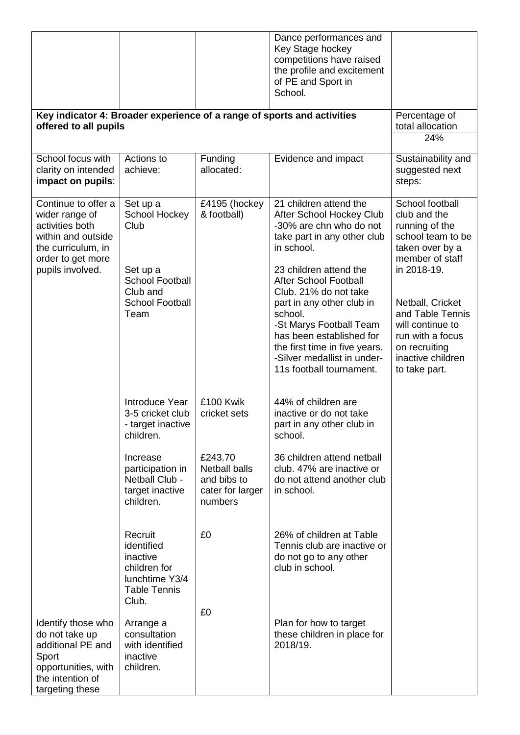|                                                                                                                                               |                                                                                                                       |                                                                               | Dance performances and<br>Key Stage hockey<br>competitions have raised<br>the profile and excitement<br>of PE and Sport in<br>School.                                                                                                                                            |                                                                                                                                                                                         |
|-----------------------------------------------------------------------------------------------------------------------------------------------|-----------------------------------------------------------------------------------------------------------------------|-------------------------------------------------------------------------------|----------------------------------------------------------------------------------------------------------------------------------------------------------------------------------------------------------------------------------------------------------------------------------|-----------------------------------------------------------------------------------------------------------------------------------------------------------------------------------------|
| offered to all pupils                                                                                                                         |                                                                                                                       |                                                                               | Key indicator 4: Broader experience of a range of sports and activities                                                                                                                                                                                                          | Percentage of<br>total allocation<br>24%                                                                                                                                                |
|                                                                                                                                               |                                                                                                                       |                                                                               |                                                                                                                                                                                                                                                                                  |                                                                                                                                                                                         |
| School focus with<br>clarity on intended<br>impact on pupils:                                                                                 | Actions to<br>achieve:                                                                                                | Funding<br>allocated:                                                         | Evidence and impact                                                                                                                                                                                                                                                              | Sustainability and<br>suggested next<br>steps:                                                                                                                                          |
| Continue to offer a<br>wider range of<br>activities both<br>within and outside<br>the curriculum, in<br>order to get more<br>pupils involved. | Set up a<br>School Hockey<br>Club<br>Set up a<br><b>School Football</b><br>Club and<br><b>School Football</b><br>Team | £4195 (hockey<br>& football)                                                  | 21 children attend the<br>After School Hockey Club<br>-30% are chn who do not<br>take part in any other club<br>in school.<br>23 children attend the<br><b>After School Football</b><br>Club. 21% do not take<br>part in any other club in<br>school.<br>-St Marys Football Team | School football<br>club and the<br>running of the<br>school team to be<br>taken over by a<br>member of staff<br>in 2018-19.<br>Netball, Cricket<br>and Table Tennis<br>will continue to |
|                                                                                                                                               |                                                                                                                       |                                                                               | has been established for<br>the first time in five years.<br>-Silver medallist in under-<br>11s football tournament.                                                                                                                                                             | run with a focus<br>on recruiting<br>inactive children<br>to take part.                                                                                                                 |
|                                                                                                                                               | Introduce Year<br>3-5 cricket club<br>- target inactive<br>children.                                                  | £100 Kwik<br>cricket sets                                                     | 44% of children are<br>inactive or do not take<br>part in any other club in<br>school.                                                                                                                                                                                           |                                                                                                                                                                                         |
|                                                                                                                                               | Increase<br>participation in<br>Netball Club -<br>target inactive<br>children.                                        | £243.70<br><b>Netball balls</b><br>and bibs to<br>cater for larger<br>numbers | 36 children attend netball<br>club. 47% are inactive or<br>do not attend another club<br>in school.                                                                                                                                                                              |                                                                                                                                                                                         |
|                                                                                                                                               | Recruit<br>identified<br>inactive<br>children for<br>lunchtime Y3/4<br><b>Table Tennis</b><br>Club.                   | £0                                                                            | 26% of children at Table<br>Tennis club are inactive or<br>do not go to any other<br>club in school.                                                                                                                                                                             |                                                                                                                                                                                         |
| Identify those who<br>do not take up<br>additional PE and<br>Sport<br>opportunities, with<br>the intention of<br>targeting these              | Arrange a<br>consultation<br>with identified<br>inactive<br>children.                                                 | £0                                                                            | Plan for how to target<br>these children in place for<br>2018/19.                                                                                                                                                                                                                |                                                                                                                                                                                         |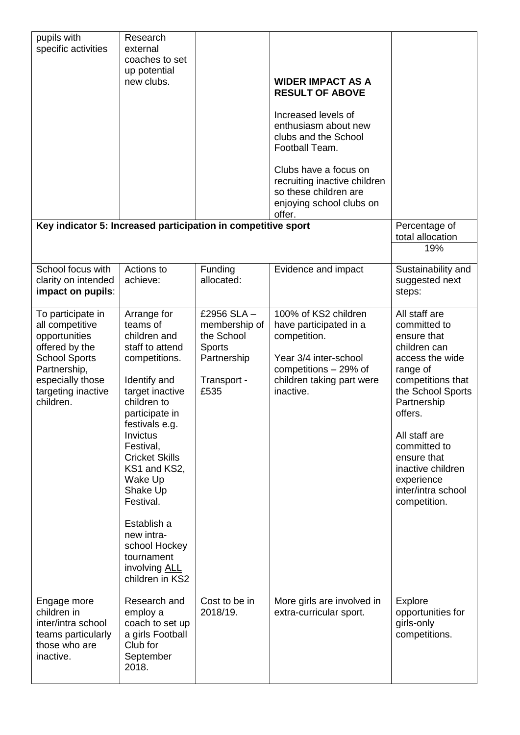| pupils with<br>specific activities<br>Key indicator 5: Increased participation in competitive sport                                                                    | Research<br>external<br>coaches to set<br>up potential<br>new clubs.                                                                                                                                                                                                                                                                                                    |                                                                                                   | <b>WIDER IMPACT AS A</b><br><b>RESULT OF ABOVE</b><br>Increased levels of<br>enthusiasm about new<br>clubs and the School<br>Football Team.<br>Clubs have a focus on<br>recruiting inactive children<br>so these children are<br>enjoying school clubs on<br>offer. | Percentage of<br>total allocation<br>19%                                                                                                                                                                                                                                                 |
|------------------------------------------------------------------------------------------------------------------------------------------------------------------------|-------------------------------------------------------------------------------------------------------------------------------------------------------------------------------------------------------------------------------------------------------------------------------------------------------------------------------------------------------------------------|---------------------------------------------------------------------------------------------------|---------------------------------------------------------------------------------------------------------------------------------------------------------------------------------------------------------------------------------------------------------------------|------------------------------------------------------------------------------------------------------------------------------------------------------------------------------------------------------------------------------------------------------------------------------------------|
| School focus with<br>clarity on intended<br>impact on pupils:                                                                                                          | Actions to<br>achieve:                                                                                                                                                                                                                                                                                                                                                  | Funding<br>allocated:                                                                             | Evidence and impact                                                                                                                                                                                                                                                 | Sustainability and<br>suggested next<br>steps:                                                                                                                                                                                                                                           |
| To participate in<br>all competitive<br>opportunities<br>offered by the<br><b>School Sports</b><br>Partnership,<br>especially those<br>targeting inactive<br>children. | Arrange for<br>teams of<br>children and<br>staff to attend<br>competitions.<br>Identify and<br>target inactive<br>children to<br>participate in<br>festivals e.g.<br>Invictus<br>Festival,<br><b>Cricket Skills</b><br>KS1 and KS2,<br>Wake Up<br>Shake Up<br>Festival.<br>Establish a<br>new intra-<br>school Hockey<br>tournament<br>involving ALL<br>children in KS2 | £2956 SLA -<br>membership of<br>the School<br><b>Sports</b><br>Partnership<br>Transport -<br>£535 | 100% of KS2 children<br>have participated in a<br>competition.<br>Year 3/4 inter-school<br>competitions - 29% of<br>children taking part were<br>inactive.                                                                                                          | All staff are<br>committed to<br>ensure that<br>children can<br>access the wide<br>range of<br>competitions that<br>the School Sports<br>Partnership<br>offers.<br>All staff are<br>committed to<br>ensure that<br>inactive children<br>experience<br>inter/intra school<br>competition. |
| Engage more<br>children in<br>inter/intra school<br>teams particularly<br>those who are<br>inactive.                                                                   | Research and<br>employ a<br>coach to set up<br>a girls Football<br>Club for<br>September<br>2018.                                                                                                                                                                                                                                                                       | Cost to be in<br>2018/19.                                                                         | More girls are involved in<br>extra-curricular sport.                                                                                                                                                                                                               | Explore<br>opportunities for<br>girls-only<br>competitions.                                                                                                                                                                                                                              |